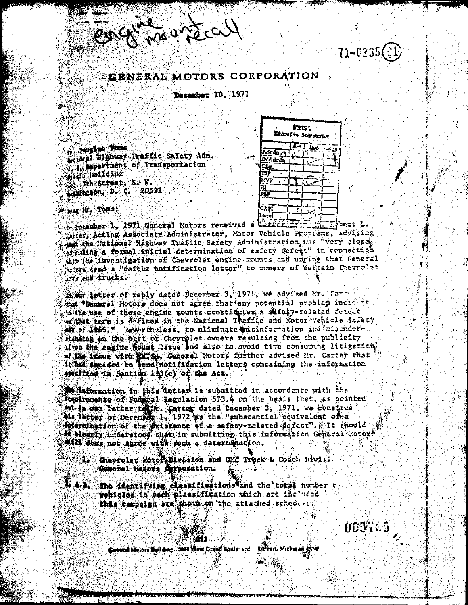English maridcall

 $71 - 0235(3)$ 

# GENERAL MOTORS CORPORATION

December 10, 1971

**Southern Tous** Wither Highway Traffic Sufety Adm. **Expartment of Transportation** mishi Building which Struct, S. W. egidington, D. C. 20591

|                       |                | <b>NHTS:</b> |  |                  |
|-----------------------|----------------|--------------|--|------------------|
| Executive Socretarion |                |              |  |                  |
|                       | <u>किन किन</u> |              |  | ستشاء<br>$-1.32$ |

|                   | Ľ. |  |
|-------------------|----|--|
| ā<br>m<br>еÑ<br>а |    |  |
|                   |    |  |
|                   |    |  |
| r.<br>Ł           |    |  |
|                   |    |  |
|                   |    |  |
| ٠                 |    |  |
| ЮA.<br>P.         |    |  |
| II oral           |    |  |

Next Nr. Tonst

t recember 1, 1971 General Motors received a herecitive finite speri 1. stiar, Acting Associate Administrator, Notor Vehicle Programs, advising the National Highway Traffic Safety Administration was "very close" weating a formal initial determination of safety defect" in connaction in the investigation of Chevrolet engine mounts and unging that General with sand a "defect notification letter" to owners of terrain Chevrolet  $ca$  and trucks.

it will letter of reply dated December 3, 1971, we advised Mr. Carry tet Ceneral Motors does not agree that any potential problem incident sathe use of those engine mounts constitutes a shiety-related detect w that torm is defined in the National Teaffic and Yotor Vehicle Safety Mi of 1256." Newertheless, to aliminate misinformation and misundorframing on the part of Chevrolet owners resulting from the publicity iven the engine hount Issue and also to avoid time consuming litigation of the issue with will be, Ceneral Notors further advised Mr. Carter that it has senided to tend notification letters containing the information specified in Section 113(c) of the Act.

adornation in this detter is submitted in accordance with the **Resirements of Federal Regulation 573.4 on the basis that, as gointed** on in our latter to ir. Carter dated December 3, 1971, we construe Ma latter of December 1, 1971 as the "substantial equivalent on a sternination of the dxistence of a safety-related datect". Alt should **Wellently understood that in submitting this information General .otor** till does not agree with such a determination.

- Chevrolet Match Division and UNC Truck & Coach Hivisi-Ceneral Motors Ogrecration.
- The identifying classifications and the total number of wehicles in sach slassification which are like head this campaign are shown on the attached school of

AA903.5

Spaced Motors Sullding Mid West Crank Soule and Direct. Michigan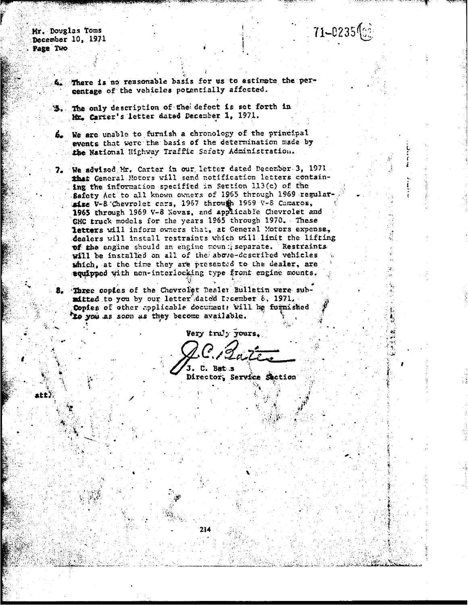Mr. Douglas Toms December 10, 1971 Page Two

 $71 - 0235$  (ce)

There is no reasonable basis for us to estimate the percentage of the vehicles potentially affected.

The only description of the defect is set forth in Mr. Carter's letter dated December 1, 1971.

We are unable to furnish a chronology of the principal events that were the basis of the determination made by the National Highway Traffic Safety Administration.

We sovised Mr. Carter in our letter dated December 3. 1971 7. that General Motors will send notification letters containing the information specified in Section 113(c) of the Safety Act to all known owners of 1965 through 1969 regularsize V-8 Chevrolet cars, 1967 through 1969 V-8 Camaros, 1965 through 1969 V-8 Novas, and applicable Chevrolet and GMC truck models for the years 1965 through 1970. These letters will inform owners that, at General Motors expense, dealers will install restraints which will limit the lifting of the engine should an engine moun peparate. Restraints will be installed on all of the above-described vehicles which, at the time they are presented to the dealer, are equipped with non-interlocking type front engine mounts.

8. Three copies of the Chevrolet Dealer Bulletin were submitted to you by our letter dated Licember 8, 1971. Copies of other applicable documents will be furnished to you as soon as they become available.

Very truly yours.

C. Bat.s Director, Service Section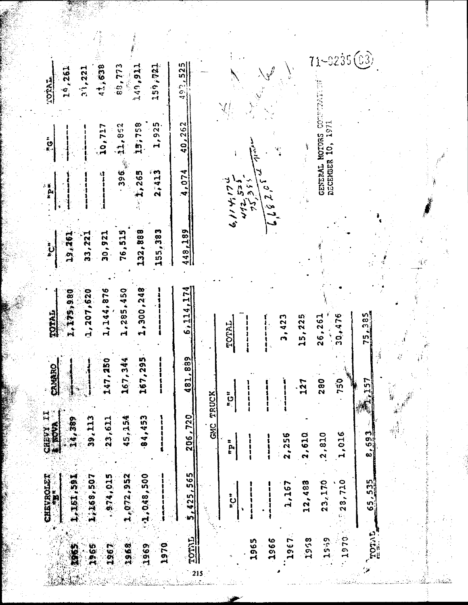| 11,638<br>159,721<br>88,773<br>149,911<br>19,261<br>33,221<br><b>LOTAL.</b>                                     | $-0235(03)$<br>492,525                                                                                                                |
|-----------------------------------------------------------------------------------------------------------------|---------------------------------------------------------------------------------------------------------------------------------------|
| 15,758<br>1,925<br>11,862<br>10,717<br>ڹ<br>؞ۼ                                                                  | 1971<br>40,262<br>MOIDRS<br>$\ddot{a}$<br>$\frac{1}{2}$<br>ミネイ                                                                        |
| 396<br>2,413<br>1,265<br>$\begin{bmatrix} \frac{1}{2} & \frac{1}{2} \\ \frac{1}{2} & \frac{1}{2} \end{bmatrix}$ | DECEMBER<br><b>GENERAL</b><br>4,074<br>2,2,3,7,7<br>こんりゅう<br>のごとに                                                                     |
| 155,383<br>76,515<br>132,888<br>30,921<br>33, 221<br>192.261<br>֧֓֕׆֧֪֧<br>׆                                    | 448,189                                                                                                                               |
| 1,300,248<br>1,144,876<br>1,285,450<br>1,207,620<br>1,175,980<br>TOTAL                                          | 6, 114, 174<br>$\frac{58}{3}$<br>30,476<br>15,225<br>26,261<br>3,423<br>TOTAL<br>$\frac{1}{2}$                                        |
| 295<br><b>250</b><br>167,344<br>CRIMARO<br>167,<br>147,                                                         | ð,<br>$\frac{89}{2}$<br>481.<br>280<br>750<br>157<br>127<br>信候<br>$\frac{1}{2}$                                                       |
| CHEVY II<br>84,453<br>14,389<br>39, 113<br>45.154<br>23,611                                                     | GMC TRUCK<br>206,720<br>နှစ်<br>ကို<br>8,593<br>1,016<br>.2,810<br>2,610<br>2,256<br>$n \, \mathbf{d}_{\mathbf{u}}$                   |
| 1,072,952<br>0.48, 500<br>1,08,891.1<br><b>CHEVROLET</b><br>874,015<br>195.194.4                                | .565<br>23,170<br>28,710<br>535<br>12,483<br>1,167<br>$-425$<br>$\sum_{n=1}^{\infty}$<br>$\ddot{5}$<br>Š<br>$\tilde{\Omega}$ ,<br>in, |
| 1965<br>1968<br>1970<br>1969<br>3962<br>1967                                                                    | <b>TOTAL</b><br>TOTAL<br>1967<br>1970<br>1953<br>1539<br>1966<br>1965<br>215                                                          |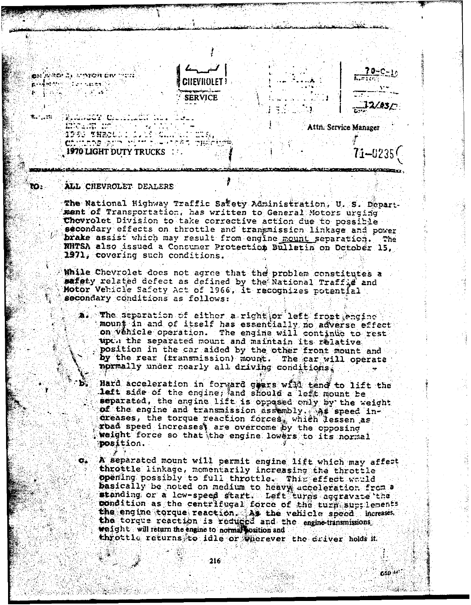

in sel

entrat opforme

71<del>-</del>0235

**CSD 14** 

Attn. Service Manager

ALL CHEVROLET DEALERS

1970 LIGHT DUTY TRUCKS ...

es was a soron ew mot

 $\sigma_{\bullet}$ 

 $\sim$   $\sim$ 

jakan 2011 - Cronicle and the same of the same of the same of the same of the same of the same of the same of the same of the same o<br>The same of the same of the same of the same of the same of the same of the same of the same of the same of th

1990 BN20011

composition will

**Rooms and Security Association** 

tin m

to:

The National Highway Traffic Safety Administration, U. S. Department of Transportation, has written to General Motors urging Chevrolet Division to take corrective action due to possible secondary effects on throttle and transmission linkage and power *Frake* assist which may result from engine mount separation. The NHTSA also issued a Consumer Protection Bulletin on October 15, 1971, covering such conditions.

While Chevrolet does not agree that the problem constitutes a safety related defect as defined by the National Traffid and Motor Vehicle Safety Act of 1966, it recognizes potential secondary conditions as follows:

The separation of either a right or left front engine 2010 mount in and of itself has essentially no adverse effect on Vehicle operation. The engine will continue to restupth the separated mount and maintain its relative position in the car aided by the other front mount and by the rear (fransmission) mount. The car will operate normally under nearly all driving conditions.

Hard acceleration in forward gears will tend to lift the left side of the engine, and should a left mount be separated, the engine lift is opposed only by the weight of the engine and transmission assembly. As speed increases, the torque reaction forces, which lessen as rbad speed increases, are overcome by the opposing<br>weight force so that the engine lowers to its normal position.

A separated mount will permit engine lift which may affect throttle linkage, momentarily increasing the throttle opening possibly to full throttle. This effect would basically be noted on medium to heavy acceleration from a low-speed start. Let turns aggravate the condition as the centrifugal force of the turn suptlements the engine torque reaction. As the vehicle speed increases. the torque reaction is reduced and the engine-transmissions weight will return the engine to normal position and throttle returns to idle or wherever the driver holds it

 $216.$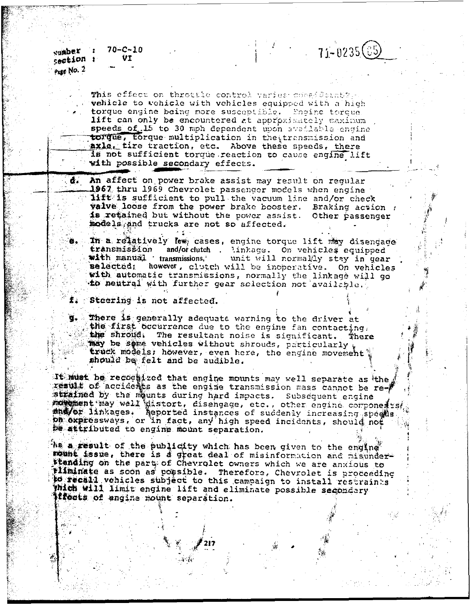$70 - C - 10$ vamber U T section : Page No. 2

> This effect on throttle control varies consideration vehicle to wehicle with vehicles equipped with a high torque engine being more susceptible. Engine torque lift can only be encountered at approximately maximum speeds of 15 to 30 mph dependent upon available engine torque, torque multiplication in the transmission and axle. tire traction, etc. Above these speeds, there is not sufficient torque reaction to cause engine lift with possible secondary effects.

 $\frac{1}{2}$   $\frac{1}{21}$   $\frac{0235}{05}$ 

 $d_{\star}$ An affect on power brake assist may result on regular 1967 thru 1969 Chevrolet passenger models when engine lift is sufficient to pull the vacuum line and/or check valve loose from the power brake booster. Braking action : is retained but without the power assist. Other passenger models and trucks are not so affected.

In a relatively lew cases, engine torque lift may disengage transmission and/orclutch linkage. On vehicles equipped<br>with manual transmissions, unit will normally stay in gear with manual transmissions, selected; however, clutch will be inoperative. On vehicles with automatic transmissions, normally the linkage will go to neutral with further gear selection not available.

Steering is not affected.

There is generally adequate warning to the driver at the first occurrence due to the engine fan contacting, the shroud. The resultant noise is significant. There may be some vehicles without shrouds, particularly truck models; however, even here, the engine movement? should be felt and be audible.

It must be recognized that engine mounts may well separate as the result of accidents as the engine transmission mass cannot be restrained by the mounts during hard impacts. Subsequent engine now ment may well distort, disengage, etc., other engine components, ma/or linkages. Aeported instances of suddenly increasing speads. be attributed to engine mount separation.

As a result of the publicity which has been given to the engine rount issue, there is a great deal of misinformation and misunderstanding on the part of Chevrolet owners which we are anxious to pliminate as soon as possible. Therefore, Chevrolet is proceeding 10 fecali vehicles subject to this campaign to install restraints Thich will limit engine lift and eliminate possible secondary **Iffects of engine mount separation.**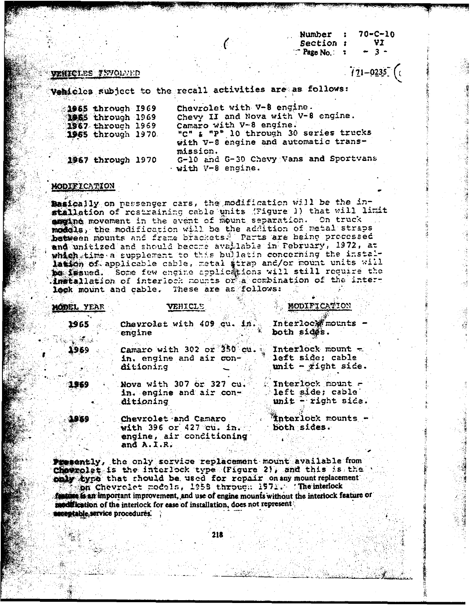$70 - C - 10$ Number Section : VI  $P$ age No.:  $\overline{z}$  $\overline{3}$   $\overline{3}$ 

 $171 - 0235$  (

- 『西海邊議論』に呼ばれる場合議会の問題書で、学習演

### **MENICLES INVOLVED**

Vehicles subject to the recall activities are as follows:

| 1965 through 1969  | Chevrolet with V-8 engine.             |
|--------------------|----------------------------------------|
| 1965 through 1969  | Chevy II and Nova with V-8 engine.     |
| 1967 through 1969  | Camaro with V-8 engine.                |
| 1955 through 1970. | "C" & "P" 10 through 30 series trucks  |
|                    | with V-8 engine and automatic trans-   |
|                    | mission.                               |
| 1967 through 1970  | G-10 and G-30 Chevy Vans and Sportvans |
|                    | · with V-8 engine.                     |

### MODIFICATION

Basically on passenger cars, the modification will be the installation of restraining cable units (Figure 1) that will limit arging movement in the event of mount separation. On truck medcls, the modification will be the addition of metal straps between mounts and frame brackets. Parts are being processed which time a supplement to this bulletin concerning the installation of applicable cable, metal strap and/or mount units will be issued. Some few engine applications will still require the installation of interlock mounts or a combination of the interlook mount and cable. These are as follows:

| <b>MODEL YEAR</b> | VEHICLE                                                                                     | MODIFICATION                                              |
|-------------------|---------------------------------------------------------------------------------------------|-----------------------------------------------------------|
| 1965<br>20. I     | Chevrolet with 409 cu. in. Interlock mounts -<br>engine                                     | both sides.                                               |
| 1969              | Camaro with 302 or 350 cu. Interlock mount $\pm$<br>in. engine and air con-<br>ditioning    | left side: cable<br>$\text{unit}$ - $\forall$ ight side.  |
| 1969              | Nova with 307 or 327 cu.<br>in. engine and air con-<br>ditioning                            | Interlock mount<br>left side; cable<br>unit - right side. |
| -1989             | Chevrolet and Camaro<br>with 396 or 427 cu. $in.$<br>engine, air conditioning<br>and A.I.R. | Tinterlock mounts -<br>both sides.                        |
|                   | Presently, the only service replacement mount available from                                |                                                           |

 $$ only type that should be used for repair on any mount replacement on Chevrolet models, 1958 through 1971. The interlock to it an important improvement, and use of engine mounts without the interlock feature of modification of the interlock for ease of installation, does not represent **esptable, service procedures.** 

218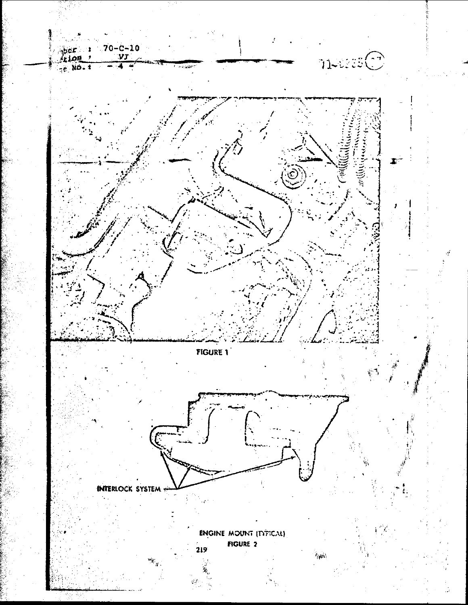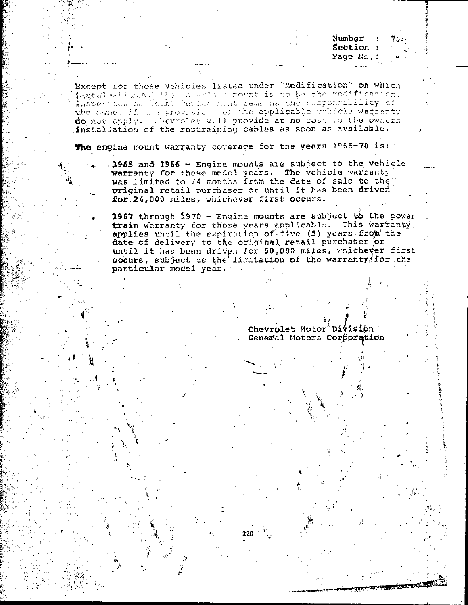Bxcept for those vehicles listed under 'Modification" on which Anspection of Count Peplacerant remains the responsibility of the present of the control of do not apply. Chevrolet will provide at no cost to the owners, installation of the restraining cables as soon as available.

**The engine mount warranty coverage for the years 1965-70 is:**<br>1965 and 1966 - Engine mounts are subject to the vehicle

warranty for these model years. The vehicle warranty was limited to 24 months from the date of sale to the original retail purchaser or until it has been driven original retail purchaser or until it has been driven<br>for 24,000 miles, whichever first occurs.

1967 through 1970 - Engine mounts are subject to the power<br>train warranty for those years applicable. This warranty applies until the expiration of five (5) years from the date of delivery to the original retail purchaser or until it has been driven for 50,000 miles, whichever first occurs, subject to the limitation of the warranty for the particular model year.

220

Chevrolet Motor Division General Motors Corporation

**Number : 70.**<br>Section :

Page No. :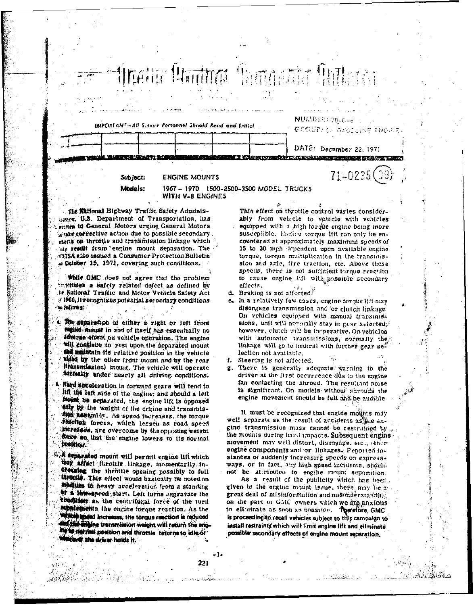IMPORTANT-All Syrvice Personnel Should Read and Littial

GROUP! OF GASOLINE ENGINE DATE: December 22, 1971 <u>i i pazmiti stranovnik provinci izvačni</u>  $71 - 0235(03)$ 

their Builto Romanic Bill

Subject: Models:

**ENGINE MOUNTS WITH V-8 ENGINES** 

1967 - 1970 1500-2500-3500 MODEL TRUCKS

The Millonal Highway Traffic Safety Adminisssies, U.S. Department of Transportation, has aritra to General Motors urging General Motors sure corrective action due to possible secondary. eteris on throttle and transmission linkage which ar result from engine mount separation. The **SITEA also issued a Consumer Protection Bulletin** # Gelober 15, 1971, covering such conditions.

while OMC does not agree that the problem institutes a safety related defect as defined by 14 National Traffic and Motor Venicle Safety Act #1966, it recognizes potential secondary conditions is follows:

The separation of either a right or left front theine mount in and of flach has essentially no adverse effect on vehicle operation. The engine will continue to rest upon the separated mount ind mathtain its relative position in the vehicle alded by the other front mount and by the rear (transmission) mount. The vehicle will operate dormally under nearly all driving conditions.

\* Hard acceleration in forward gears will tend to lift the left side of the engine: and should a left mount be separated, the engine lift is opposed the weight of the engine and transmistion assumidy. As speed increases, the torque fouclien forces, which lessen as road speed increases, are overcome by the opposing weight force so that the engine lowers to its normal Dosítico.

A separated mount will permit engine lift which thay affect furotile linkage, momentarily increasing the throttle opening possibly to full theorie. This effect would basically tie noted on medium to heavy acceleration from a standing <sup>64</sup> a low-speed start. Left turns aggravate the condition as the centrifugal force of the turn supplements the engine torque reaction. As the vm **Wanned Increases, the torque reaction is reduced** of the drains transmission waight will return the eng-**We want position and throttle returns to idle or Cardi, the driver holds it.** 

فبالغماني يتشمعها ليبرر

This effect on throttle control varies considerably from vehicle to vehicle with vehicles equipped with a high-torque engine being more. susceptible. Engine terque lift can only be encountered at approximately maximum speeds of 15 to 30 mph dependent upon available engine torque, torque multiplication in the transmission and axie, tire traction, etc. Above these speeds, there is not sufficient torque reaction to cause engine lift with passible secondary effects.

NUMBER-70-C-A

d. Braking is not affected.

e. In a relatively few cases, engine for puelift may disengage transmission and or clutch linkage On vehicles equipped with manual transmist sions, unit will normally stay in gear selected;2 however, clutch will be inoperative. On vehicles with automatic transmissions, normally the linkage will go to neutral with further gear selection not available.

Steering is not affected. Ł.

g. There is generally adequate warning to the driver at the first occurrence due to the engine fan contacting the shroud. The resultant noise is significant. On models without shrouds the engine movement should be felt and be audible.

It must be recognized that engine mounts may well separate as the result of accidents as the engine transmission mass cannot be restrained by ... the mounts during hard impacts. Subsequent engine movement may well distort, disengage, etc., other engine components and or linkages. Reported instances of suddenly increasing speeds on expressways, or in fact, any high speed incidents, should not be attributed to engine mount separation.

As a result of the publicity which has been given to the engine mount issue, there may be an great deal of misinformation and mischderstanding on the part of GMC owners which we are anxious to eliminate as soon as possible. Therefore, GMC is proceeding to recall vehicles subject to this campaign to install restraints which will limit engine lift and eliminate possible secondary effects of engine mount separation.

221

بالمهم للمكان والأباري